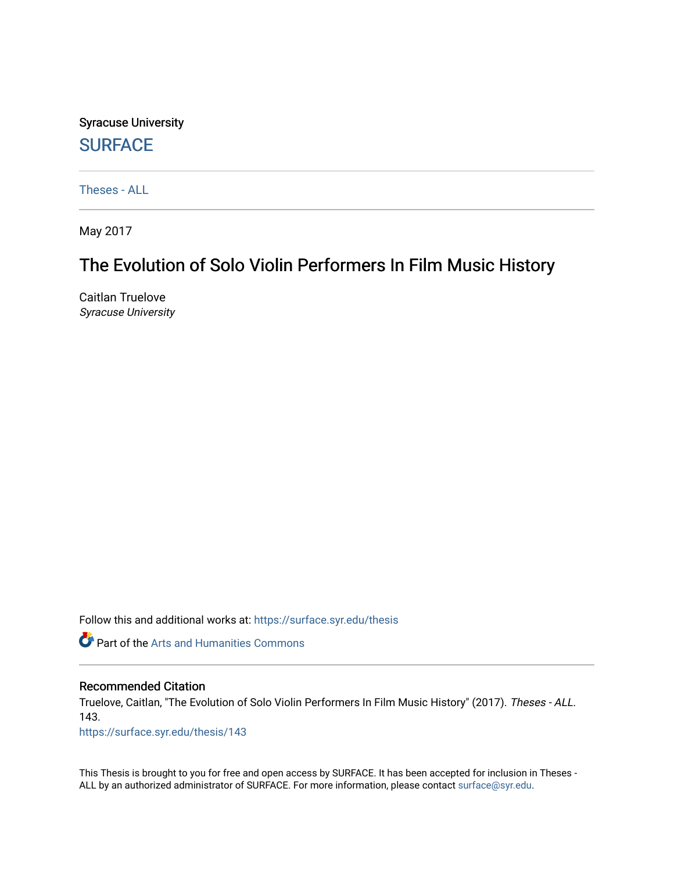Syracuse University **[SURFACE](https://surface.syr.edu/)** 

[Theses - ALL](https://surface.syr.edu/thesis)

May 2017

# The Evolution of Solo Violin Performers In Film Music History

Caitlan Truelove Syracuse University

Follow this and additional works at: [https://surface.syr.edu/thesis](https://surface.syr.edu/thesis?utm_source=surface.syr.edu%2Fthesis%2F143&utm_medium=PDF&utm_campaign=PDFCoverPages)

**Part of the Arts and Humanities Commons** 

#### Recommended Citation

Truelove, Caitlan, "The Evolution of Solo Violin Performers In Film Music History" (2017). Theses - ALL. 143.

[https://surface.syr.edu/thesis/143](https://surface.syr.edu/thesis/143?utm_source=surface.syr.edu%2Fthesis%2F143&utm_medium=PDF&utm_campaign=PDFCoverPages)

This Thesis is brought to you for free and open access by SURFACE. It has been accepted for inclusion in Theses - ALL by an authorized administrator of SURFACE. For more information, please contact [surface@syr.edu](mailto:surface@syr.edu).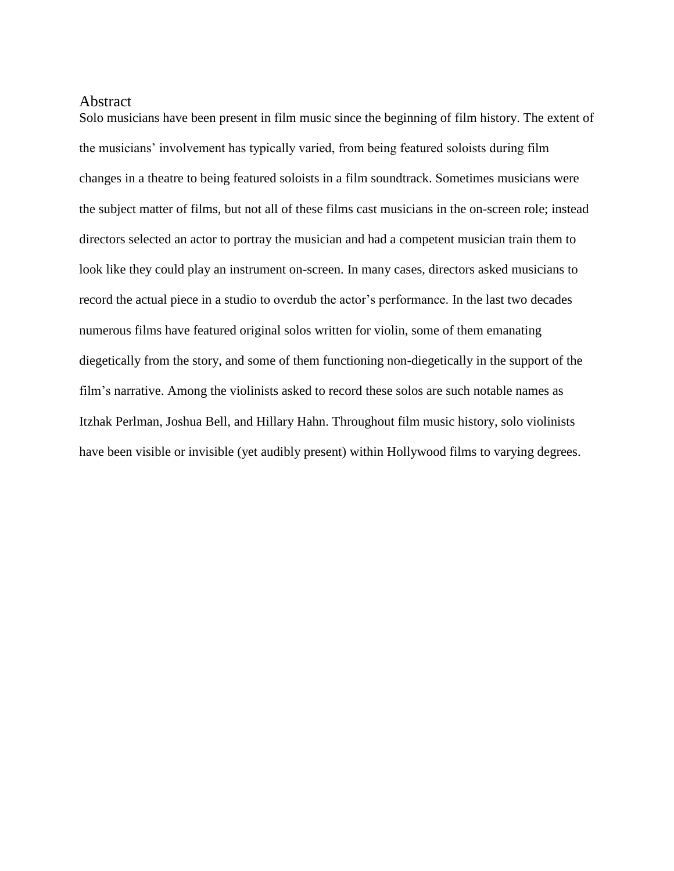### <span id="page-1-0"></span>Abstract

Solo musicians have been present in film music since the beginning of film history. The extent of the musicians' involvement has typically varied, from being featured soloists during film changes in a theatre to being featured soloists in a film soundtrack. Sometimes musicians were the subject matter of films, but not all of these films cast musicians in the on-screen role; instead directors selected an actor to portray the musician and had a competent musician train them to look like they could play an instrument on-screen. In many cases, directors asked musicians to record the actual piece in a studio to overdub the actor's performance. In the last two decades numerous films have featured original solos written for violin, some of them emanating diegetically from the story, and some of them functioning non-diegetically in the support of the film's narrative. Among the violinists asked to record these solos are such notable names as Itzhak Perlman, Joshua Bell, and Hillary Hahn. Throughout film music history, solo violinists have been visible or invisible (yet audibly present) within Hollywood films to varying degrees.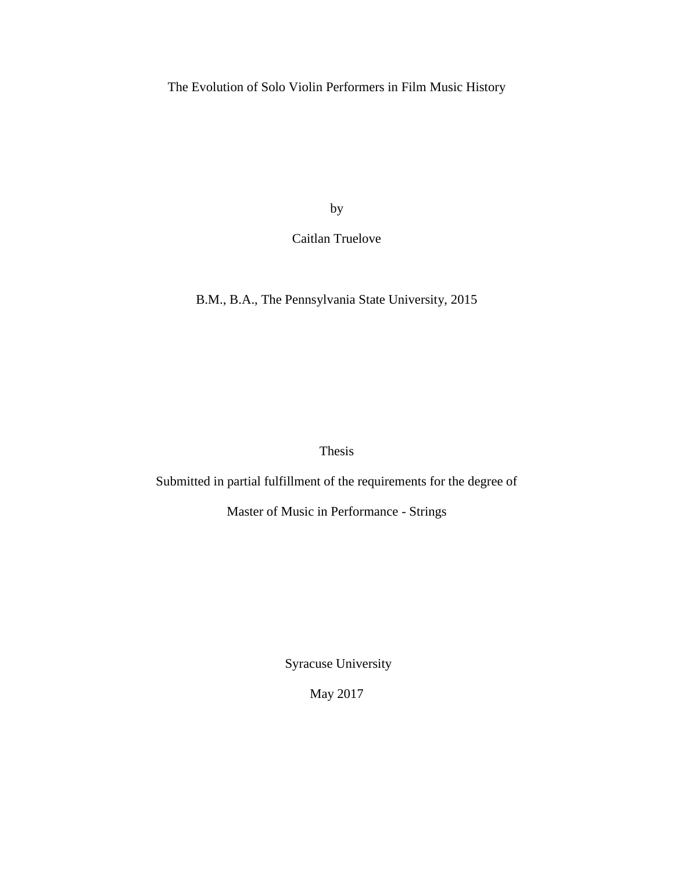The Evolution of Solo Violin Performers in Film Music History

by

Caitlan Truelove

B.M., B.A., The Pennsylvania State University, 2015

Thesis

Submitted in partial fulfillment of the requirements for the degree of

Master of Music in Performance - Strings

Syracuse University

May 2017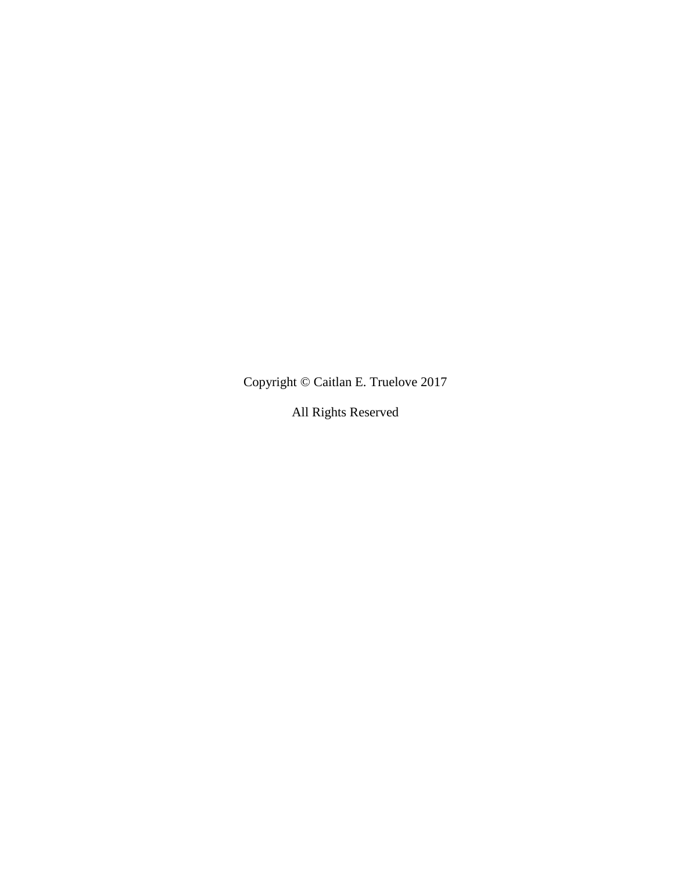Copyright © Caitlan E. Truelove 2017

All Rights Reserved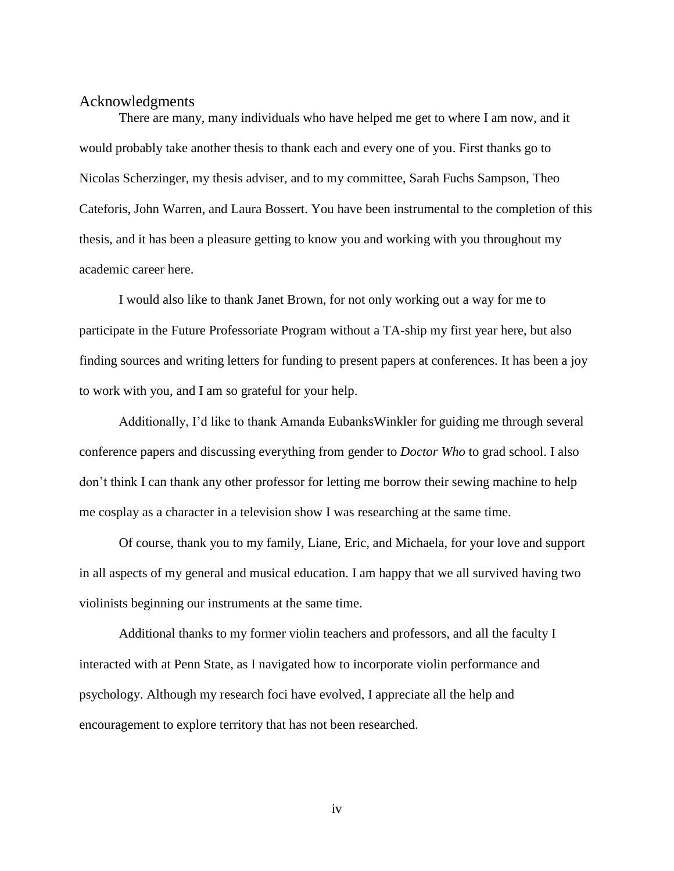#### <span id="page-4-0"></span>Acknowledgments

There are many, many individuals who have helped me get to where I am now, and it would probably take another thesis to thank each and every one of you. First thanks go to Nicolas Scherzinger, my thesis adviser, and to my committee, Sarah Fuchs Sampson, Theo Cateforis, John Warren, and Laura Bossert. You have been instrumental to the completion of this thesis, and it has been a pleasure getting to know you and working with you throughout my academic career here.

I would also like to thank Janet Brown, for not only working out a way for me to participate in the Future Professoriate Program without a TA-ship my first year here, but also finding sources and writing letters for funding to present papers at conferences. It has been a joy to work with you, and I am so grateful for your help.

Additionally, I'd like to thank Amanda EubanksWinkler for guiding me through several conference papers and discussing everything from gender to *Doctor Who* to grad school. I also don't think I can thank any other professor for letting me borrow their sewing machine to help me cosplay as a character in a television show I was researching at the same time.

Of course, thank you to my family, Liane, Eric, and Michaela, for your love and support in all aspects of my general and musical education. I am happy that we all survived having two violinists beginning our instruments at the same time.

Additional thanks to my former violin teachers and professors, and all the faculty I interacted with at Penn State, as I navigated how to incorporate violin performance and psychology. Although my research foci have evolved, I appreciate all the help and encouragement to explore territory that has not been researched.

iv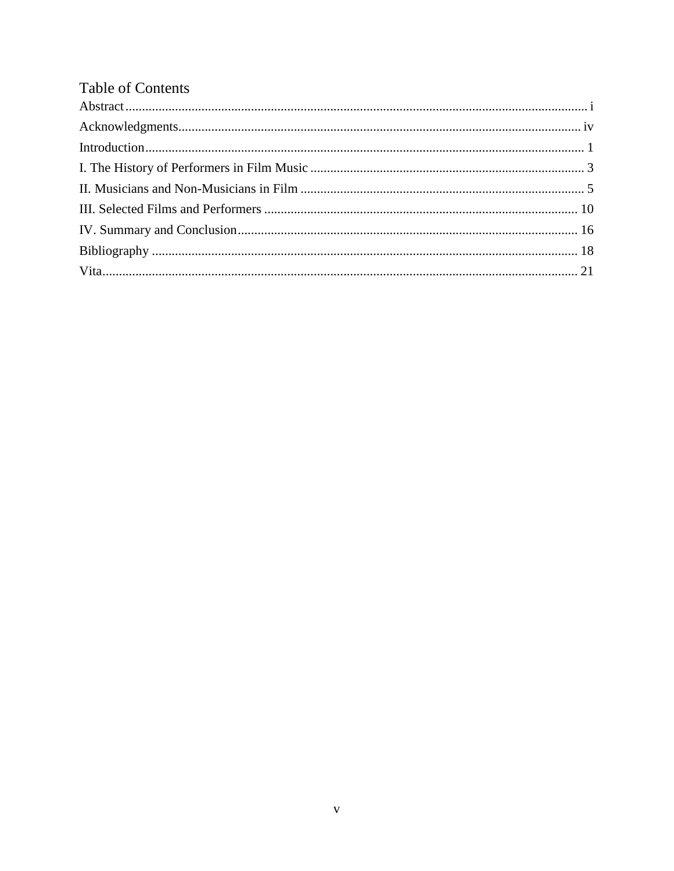| <b>Table of Contents</b> |  |
|--------------------------|--|
|                          |  |
|                          |  |
|                          |  |
|                          |  |
|                          |  |
|                          |  |
|                          |  |
|                          |  |
|                          |  |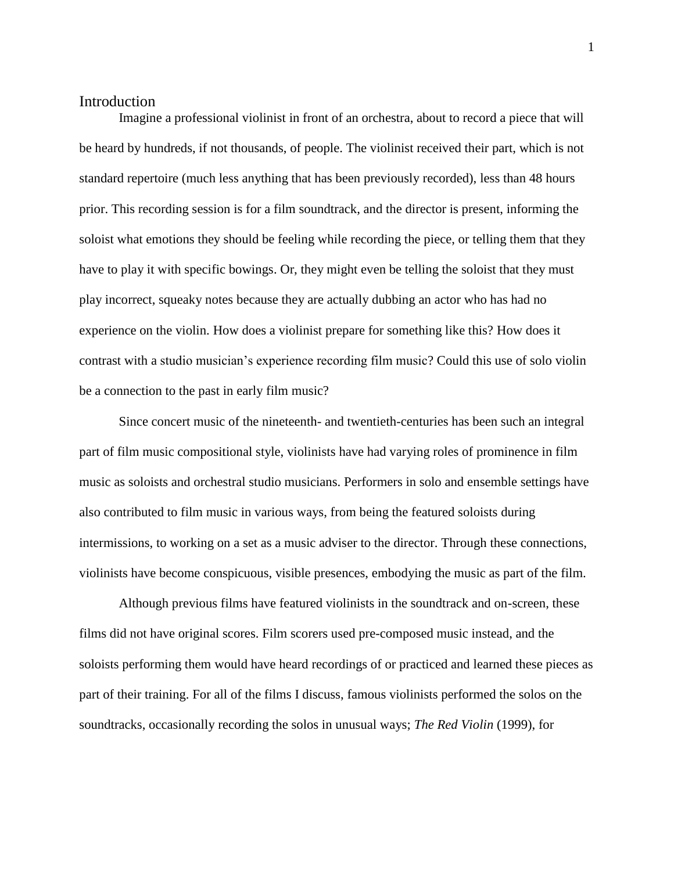# <span id="page-6-0"></span>Introduction

Imagine a professional violinist in front of an orchestra, about to record a piece that will be heard by hundreds, if not thousands, of people. The violinist received their part, which is not standard repertoire (much less anything that has been previously recorded), less than 48 hours prior. This recording session is for a film soundtrack, and the director is present, informing the soloist what emotions they should be feeling while recording the piece, or telling them that they have to play it with specific bowings. Or, they might even be telling the soloist that they must play incorrect, squeaky notes because they are actually dubbing an actor who has had no experience on the violin. How does a violinist prepare for something like this? How does it contrast with a studio musician's experience recording film music? Could this use of solo violin be a connection to the past in early film music?

Since concert music of the nineteenth- and twentieth-centuries has been such an integral part of film music compositional style, violinists have had varying roles of prominence in film music as soloists and orchestral studio musicians. Performers in solo and ensemble settings have also contributed to film music in various ways, from being the featured soloists during intermissions, to working on a set as a music adviser to the director. Through these connections, violinists have become conspicuous, visible presences, embodying the music as part of the film.

Although previous films have featured violinists in the soundtrack and on-screen, these films did not have original scores. Film scorers used pre-composed music instead, and the soloists performing them would have heard recordings of or practiced and learned these pieces as part of their training. For all of the films I discuss, famous violinists performed the solos on the soundtracks, occasionally recording the solos in unusual ways; *The Red Violin* (1999), for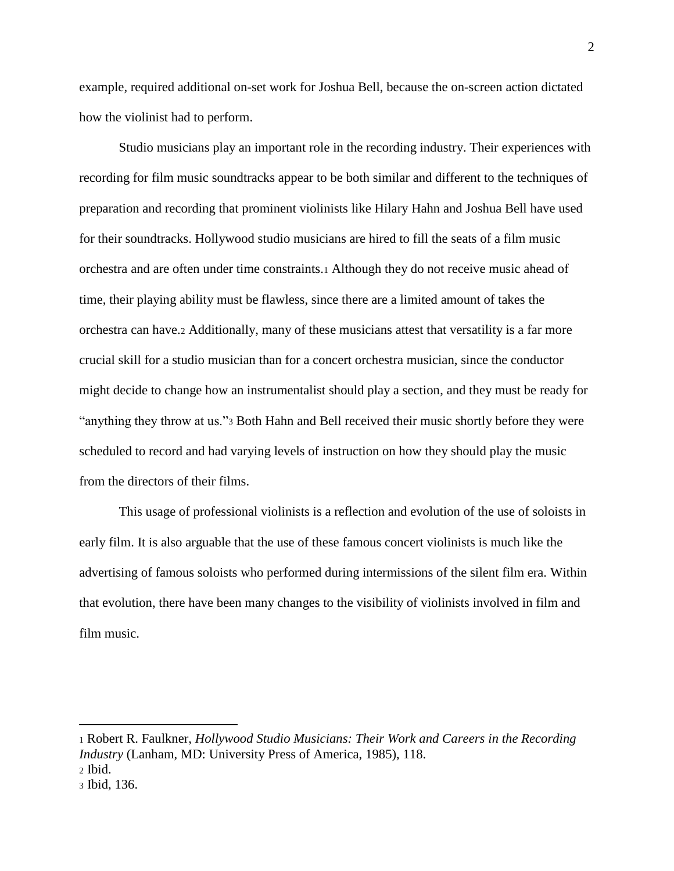example, required additional on-set work for Joshua Bell, because the on-screen action dictated how the violinist had to perform.

Studio musicians play an important role in the recording industry. Their experiences with recording for film music soundtracks appear to be both similar and different to the techniques of preparation and recording that prominent violinists like Hilary Hahn and Joshua Bell have used for their soundtracks. Hollywood studio musicians are hired to fill the seats of a film music orchestra and are often under time constraints.<sup>1</sup> Although they do not receive music ahead of time, their playing ability must be flawless, since there are a limited amount of takes the orchestra can have.<sup>2</sup> Additionally, many of these musicians attest that versatility is a far more crucial skill for a studio musician than for a concert orchestra musician, since the conductor might decide to change how an instrumentalist should play a section, and they must be ready for "anything they throw at us."<sup>3</sup> Both Hahn and Bell received their music shortly before they were scheduled to record and had varying levels of instruction on how they should play the music from the directors of their films.

This usage of professional violinists is a reflection and evolution of the use of soloists in early film. It is also arguable that the use of these famous concert violinists is much like the advertising of famous soloists who performed during intermissions of the silent film era. Within that evolution, there have been many changes to the visibility of violinists involved in film and film music.

<sup>1</sup> Robert R. Faulkner, *Hollywood Studio Musicians: Their Work and Careers in the Recording Industry* (Lanham, MD: University Press of America, 1985), 118.

<sup>2</sup> Ibid.

<sup>3</sup> Ibid, 136.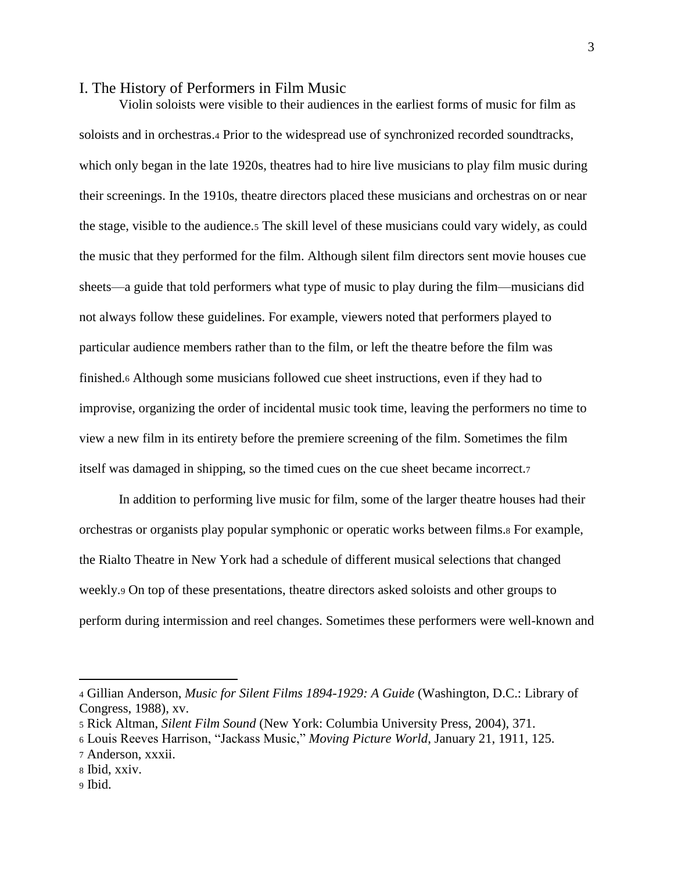### <span id="page-8-0"></span>I. The History of Performers in Film Music

Violin soloists were visible to their audiences in the earliest forms of music for film as soloists and in orchestras.<sup>4</sup> Prior to the widespread use of synchronized recorded soundtracks, which only began in the late 1920s, theatres had to hire live musicians to play film music during their screenings. In the 1910s, theatre directors placed these musicians and orchestras on or near the stage, visible to the audience.<sup>5</sup> The skill level of these musicians could vary widely, as could the music that they performed for the film. Although silent film directors sent movie houses cue sheets—a guide that told performers what type of music to play during the film—musicians did not always follow these guidelines. For example, viewers noted that performers played to particular audience members rather than to the film, or left the theatre before the film was finished.<sup>6</sup> Although some musicians followed cue sheet instructions, even if they had to improvise, organizing the order of incidental music took time, leaving the performers no time to view a new film in its entirety before the premiere screening of the film. Sometimes the film itself was damaged in shipping, so the timed cues on the cue sheet became incorrect.<sup>7</sup>

In addition to performing live music for film, some of the larger theatre houses had their orchestras or organists play popular symphonic or operatic works between films.<sup>8</sup> For example, the Rialto Theatre in New York had a schedule of different musical selections that changed weekly.<sup>9</sup> On top of these presentations, theatre directors asked soloists and other groups to perform during intermission and reel changes. Sometimes these performers were well-known and

<sup>4</sup> Gillian Anderson, *Music for Silent Films 1894-1929: A Guide* (Washington, D.C.: Library of Congress, 1988), xv.

<sup>5</sup> Rick Altman, *Silent Film Sound* (New York: Columbia University Press, 2004), 371.

<sup>6</sup> Louis Reeves Harrison, "Jackass Music," *Moving Picture World*, January 21, 1911, 125.

<sup>7</sup> Anderson, xxxii.

<sup>8</sup> Ibid, xxiv.

<sup>9</sup> Ibid.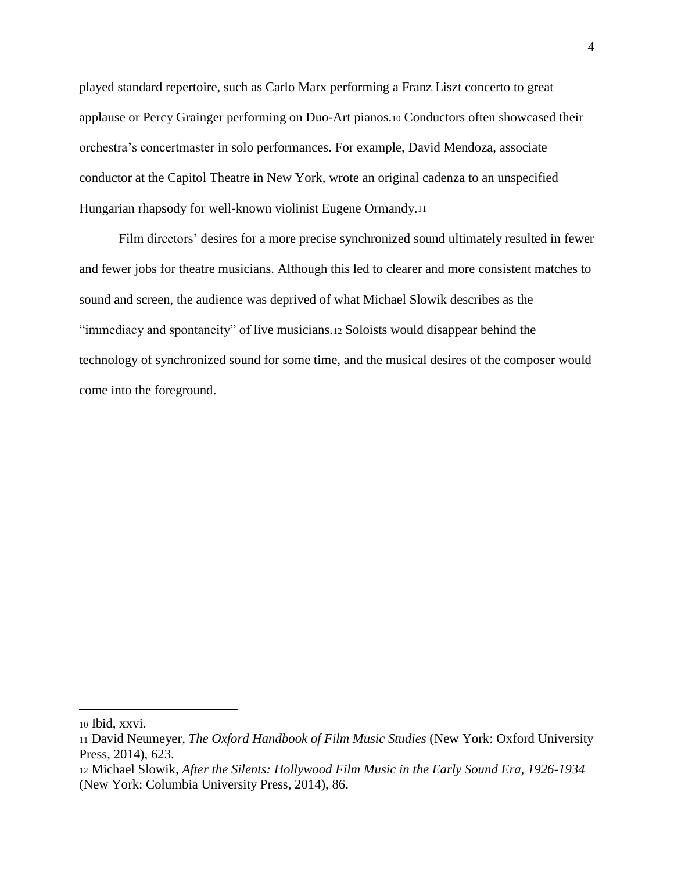played standard repertoire, such as Carlo Marx performing a Franz Liszt concerto to great applause or Percy Grainger performing on Duo-Art pianos.<sup>10</sup> Conductors often showcased their orchestra's concertmaster in solo performances. For example, David Mendoza, associate conductor at the Capitol Theatre in New York, wrote an original cadenza to an unspecified Hungarian rhapsody for well-known violinist Eugene Ormandy.<sup>11</sup>

Film directors' desires for a more precise synchronized sound ultimately resulted in fewer and fewer jobs for theatre musicians. Although this led to clearer and more consistent matches to sound and screen, the audience was deprived of what Michael Slowik describes as the "immediacy and spontaneity" of live musicians.<sup>12</sup> Soloists would disappear behind the technology of synchronized sound for some time, and the musical desires of the composer would come into the foreground.

<sup>10</sup> Ibid, xxvi.

<sup>11</sup> David Neumeyer, *The Oxford Handbook of Film Music Studies* (New York: Oxford University Press, 2014), 623.

<sup>12</sup> Michael Slowik, *After the Silents: Hollywood Film Music in the Early Sound Era, 1926-1934* (New York: Columbia University Press, 2014), 86.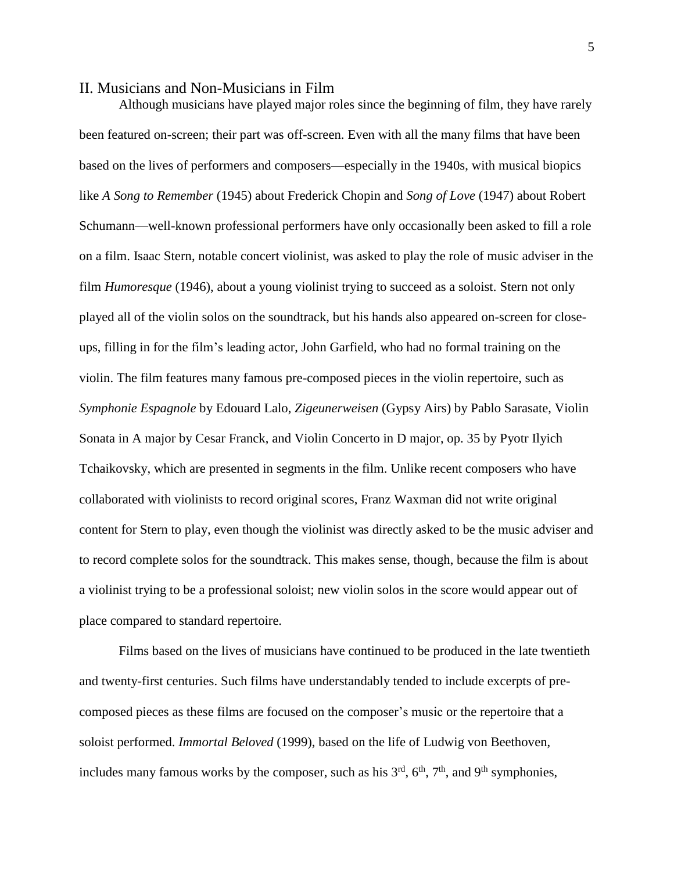### <span id="page-10-0"></span>II. Musicians and Non-Musicians in Film

Although musicians have played major roles since the beginning of film, they have rarely been featured on-screen; their part was off-screen. Even with all the many films that have been based on the lives of performers and composers—especially in the 1940s, with musical biopics like *A Song to Remember* (1945) about Frederick Chopin and *Song of Love* (1947) about Robert Schumann—well-known professional performers have only occasionally been asked to fill a role on a film. Isaac Stern, notable concert violinist, was asked to play the role of music adviser in the film *Humoresque* (1946), about a young violinist trying to succeed as a soloist. Stern not only played all of the violin solos on the soundtrack, but his hands also appeared on-screen for closeups, filling in for the film's leading actor, John Garfield, who had no formal training on the violin. The film features many famous pre-composed pieces in the violin repertoire, such as *Symphonie Espagnole* by Edouard Lalo, *Zigeunerweisen* (Gypsy Airs) by Pablo Sarasate, Violin Sonata in A major by Cesar Franck, and Violin Concerto in D major, op. 35 by Pyotr Ilyich Tchaikovsky, which are presented in segments in the film. Unlike recent composers who have collaborated with violinists to record original scores, Franz Waxman did not write original content for Stern to play, even though the violinist was directly asked to be the music adviser and to record complete solos for the soundtrack. This makes sense, though, because the film is about a violinist trying to be a professional soloist; new violin solos in the score would appear out of place compared to standard repertoire.

Films based on the lives of musicians have continued to be produced in the late twentieth and twenty-first centuries. Such films have understandably tended to include excerpts of precomposed pieces as these films are focused on the composer's music or the repertoire that a soloist performed. *Immortal Beloved* (1999), based on the life of Ludwig von Beethoven, includes many famous works by the composer, such as his  $3<sup>rd</sup>$ ,  $6<sup>th</sup>$ ,  $7<sup>th</sup>$ , and  $9<sup>th</sup>$  symphonies,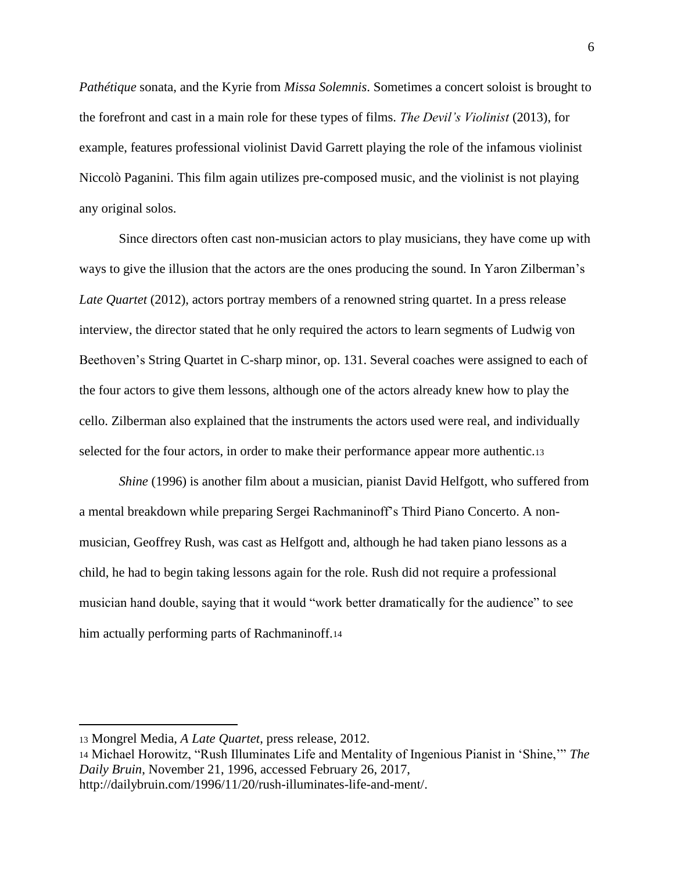*Pathétique* sonata, and the Kyrie from *Missa Solemnis*. Sometimes a concert soloist is brought to the forefront and cast in a main role for these types of films. *The Devil's Violinist* (2013), for example, features professional violinist David Garrett playing the role of the infamous violinist Niccolò Paganini. This film again utilizes pre-composed music, and the violinist is not playing any original solos.

Since directors often cast non-musician actors to play musicians, they have come up with ways to give the illusion that the actors are the ones producing the sound. In Yaron Zilberman's *Late Quartet* (2012), actors portray members of a renowned string quartet. In a press release interview, the director stated that he only required the actors to learn segments of Ludwig von Beethoven's String Quartet in C-sharp minor, op. 131. Several coaches were assigned to each of the four actors to give them lessons, although one of the actors already knew how to play the cello. Zilberman also explained that the instruments the actors used were real, and individually selected for the four actors, in order to make their performance appear more authentic.<sup>13</sup>

*Shine* (1996) is another film about a musician, pianist David Helfgott, who suffered from a mental breakdown while preparing Sergei Rachmaninoff's Third Piano Concerto. A nonmusician, Geoffrey Rush, was cast as Helfgott and, although he had taken piano lessons as a child, he had to begin taking lessons again for the role. Rush did not require a professional musician hand double, saying that it would "work better dramatically for the audience" to see him actually performing parts of Rachmaninoff.<sup>14</sup>

 $\overline{a}$ 

<sup>14</sup> Michael Horowitz, "Rush Illuminates Life and Mentality of Ingenious Pianist in 'Shine,'" *The Daily Bruin*, November 21, 1996, accessed February 26, 2017, http://dailybruin.com/1996/11/20/rush-illuminates-life-and-ment/.

<sup>13</sup> Mongrel Media, *A Late Quartet*, press release, 2012.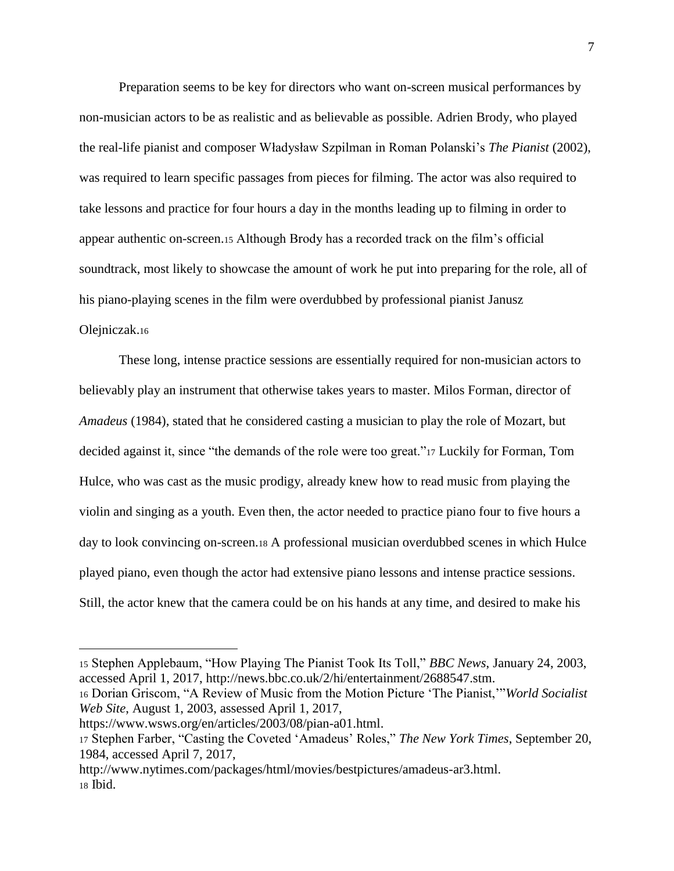Preparation seems to be key for directors who want on-screen musical performances by non-musician actors to be as realistic and as believable as possible. Adrien Brody, who played the real-life pianist and composer Władysław Szpilman in Roman Polanski's *The Pianist* (2002), was required to learn specific passages from pieces for filming. The actor was also required to take lessons and practice for four hours a day in the months leading up to filming in order to appear authentic on-screen.<sup>15</sup> Although Brody has a recorded track on the film's official soundtrack, most likely to showcase the amount of work he put into preparing for the role, all of his piano-playing scenes in the film were overdubbed by professional pianist Janusz Olejniczak.<sup>16</sup>

These long, intense practice sessions are essentially required for non-musician actors to believably play an instrument that otherwise takes years to master. Milos Forman, director of *Amadeus* (1984), stated that he considered casting a musician to play the role of Mozart, but decided against it, since "the demands of the role were too great."<sup>17</sup> Luckily for Forman, Tom Hulce, who was cast as the music prodigy, already knew how to read music from playing the violin and singing as a youth. Even then, the actor needed to practice piano four to five hours a day to look convincing on-screen.<sup>18</sup> A professional musician overdubbed scenes in which Hulce played piano, even though the actor had extensive piano lessons and intense practice sessions. Still, the actor knew that the camera could be on his hands at any time, and desired to make his

<sup>15</sup> Stephen Applebaum, "How Playing The Pianist Took Its Toll," *BBC News*, January 24, 2003, accessed April 1, 2017, http://news.bbc.co.uk/2/hi/entertainment/2688547.stm.

<sup>16</sup> Dorian Griscom, "A Review of Music from the Motion Picture 'The Pianist,'"*World Socialist Web Site*, August 1, 2003, assessed April 1, 2017,

https://www.wsws.org/en/articles/2003/08/pian-a01.html.

<sup>17</sup> Stephen Farber, "Casting the Coveted 'Amadeus' Roles," *The New York Times*, September 20, 1984, accessed April 7, 2017,

http://www.nytimes.com/packages/html/movies/bestpictures/amadeus-ar3.html. <sup>18</sup> Ibid.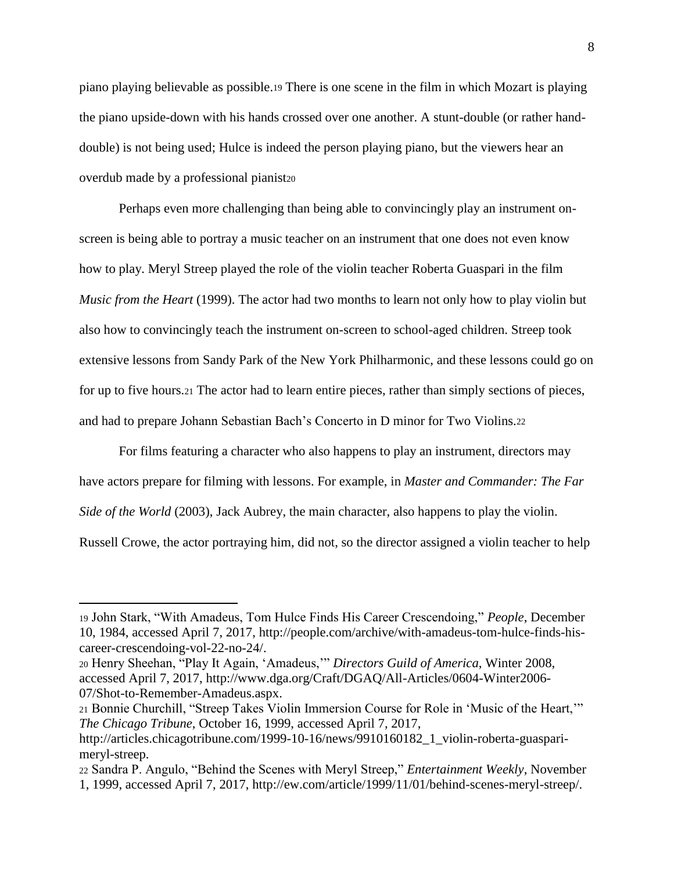piano playing believable as possible.<sup>19</sup> There is one scene in the film in which Mozart is playing the piano upside-down with his hands crossed over one another. A stunt-double (or rather handdouble) is not being used; Hulce is indeed the person playing piano, but the viewers hear an overdub made by a professional pianist<sub>20</sub>

Perhaps even more challenging than being able to convincingly play an instrument onscreen is being able to portray a music teacher on an instrument that one does not even know how to play. Meryl Streep played the role of the violin teacher Roberta Guaspari in the film *Music from the Heart* (1999). The actor had two months to learn not only how to play violin but also how to convincingly teach the instrument on-screen to school-aged children. Streep took extensive lessons from Sandy Park of the New York Philharmonic, and these lessons could go on for up to five hours.<sup>21</sup> The actor had to learn entire pieces, rather than simply sections of pieces, and had to prepare Johann Sebastian Bach's Concerto in D minor for Two Violins.<sup>22</sup>

For films featuring a character who also happens to play an instrument, directors may have actors prepare for filming with lessons. For example, in *Master and Commander: The Far Side of the World* (2003), Jack Aubrey, the main character, also happens to play the violin. Russell Crowe, the actor portraying him, did not, so the director assigned a violin teacher to help

<sup>19</sup> John Stark, "With Amadeus, Tom Hulce Finds His Career Crescendoing," *People*, December 10, 1984, accessed April 7, 2017, http://people.com/archive/with-amadeus-tom-hulce-finds-hiscareer-crescendoing-vol-22-no-24/.

<sup>20</sup> Henry Sheehan, "Play It Again, 'Amadeus,'" *Directors Guild of America*, Winter 2008, accessed April 7, 2017, http://www.dga.org/Craft/DGAQ/All-Articles/0604-Winter2006- 07/Shot-to-Remember-Amadeus.aspx.

<sup>21</sup> Bonnie Churchill, "Streep Takes Violin Immersion Course for Role in 'Music of the Heart,'" *The Chicago Tribune*, October 16, 1999, accessed April 7, 2017,

http://articles.chicagotribune.com/1999-10-16/news/9910160182\_1\_violin-roberta-guasparimeryl-streep.

<sup>22</sup> Sandra P. Angulo, "Behind the Scenes with Meryl Streep," *Entertainment Weekly*, November 1, 1999, accessed April 7, 2017, http://ew.com/article/1999/11/01/behind-scenes-meryl-streep/.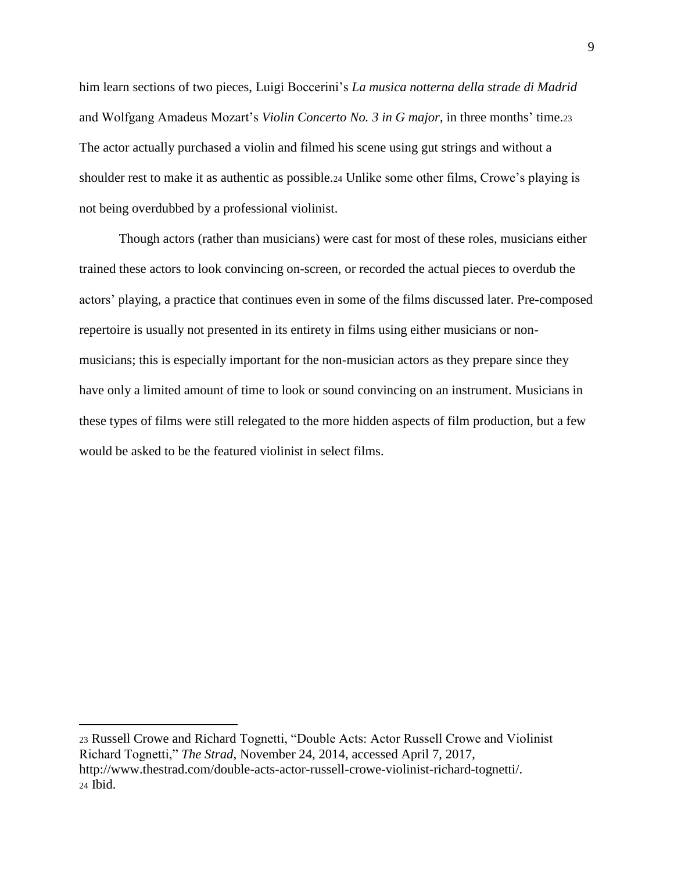him learn sections of two pieces, Luigi Boccerini's *La musica notterna della strade di Madrid* and Wolfgang Amadeus Mozart's *Violin Concerto No. 3 in G major*, in three months' time.<sup>23</sup> The actor actually purchased a violin and filmed his scene using gut strings and without a shoulder rest to make it as authentic as possible.<sup>24</sup> Unlike some other films, Crowe's playing is not being overdubbed by a professional violinist.

Though actors (rather than musicians) were cast for most of these roles, musicians either trained these actors to look convincing on-screen, or recorded the actual pieces to overdub the actors' playing, a practice that continues even in some of the films discussed later. Pre-composed repertoire is usually not presented in its entirety in films using either musicians or nonmusicians; this is especially important for the non-musician actors as they prepare since they have only a limited amount of time to look or sound convincing on an instrument. Musicians in these types of films were still relegated to the more hidden aspects of film production, but a few would be asked to be the featured violinist in select films.

<sup>23</sup> Russell Crowe and Richard Tognetti, "Double Acts: Actor Russell Crowe and Violinist Richard Tognetti," *The Strad*, November 24, 2014, accessed April 7, 2017, http://www.thestrad.com/double-acts-actor-russell-crowe-violinist-richard-tognetti/. <sup>24</sup> Ibid.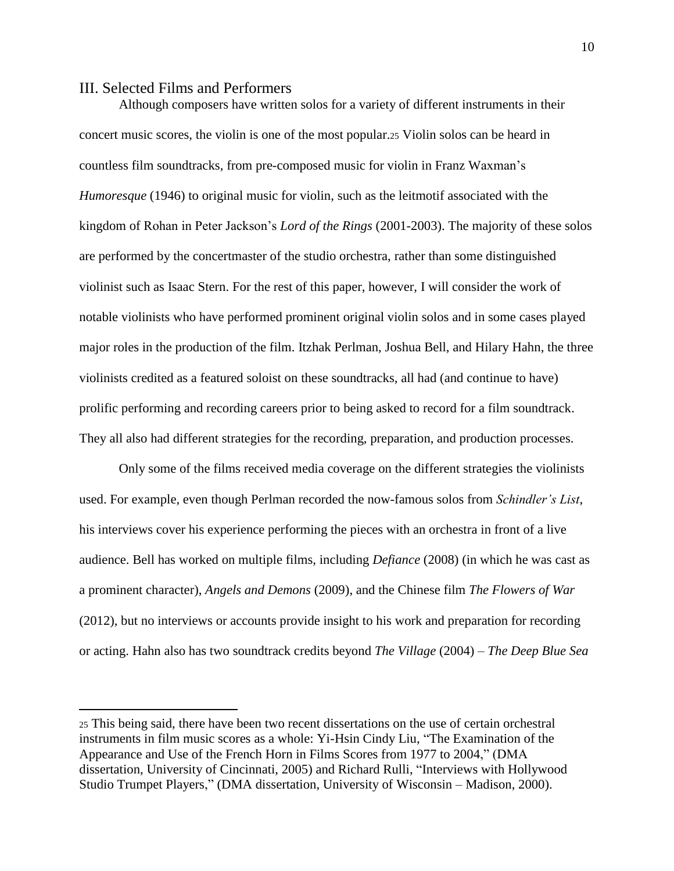### <span id="page-15-0"></span>III. Selected Films and Performers

 $\overline{a}$ 

Although composers have written solos for a variety of different instruments in their concert music scores, the violin is one of the most popular.<sup>25</sup> Violin solos can be heard in countless film soundtracks, from pre-composed music for violin in Franz Waxman's *Humoresque* (1946) to original music for violin, such as the leitmotif associated with the kingdom of Rohan in Peter Jackson's *Lord of the Rings* (2001-2003). The majority of these solos are performed by the concertmaster of the studio orchestra, rather than some distinguished violinist such as Isaac Stern. For the rest of this paper, however, I will consider the work of notable violinists who have performed prominent original violin solos and in some cases played major roles in the production of the film. Itzhak Perlman, Joshua Bell, and Hilary Hahn, the three violinists credited as a featured soloist on these soundtracks, all had (and continue to have) prolific performing and recording careers prior to being asked to record for a film soundtrack. They all also had different strategies for the recording, preparation, and production processes.

Only some of the films received media coverage on the different strategies the violinists used. For example, even though Perlman recorded the now-famous solos from *Schindler's List*, his interviews cover his experience performing the pieces with an orchestra in front of a live audience. Bell has worked on multiple films, including *Defiance* (2008) (in which he was cast as a prominent character), *Angels and Demons* (2009), and the Chinese film *The Flowers of War*  (2012), but no interviews or accounts provide insight to his work and preparation for recording or acting. Hahn also has two soundtrack credits beyond *The Village* (2004) – *The Deep Blue Sea*

<sup>25</sup> This being said, there have been two recent dissertations on the use of certain orchestral instruments in film music scores as a whole: Yi-Hsin Cindy Liu, "The Examination of the Appearance and Use of the French Horn in Films Scores from 1977 to 2004," (DMA dissertation, University of Cincinnati, 2005) and Richard Rulli, "Interviews with Hollywood Studio Trumpet Players," (DMA dissertation, University of Wisconsin – Madison, 2000).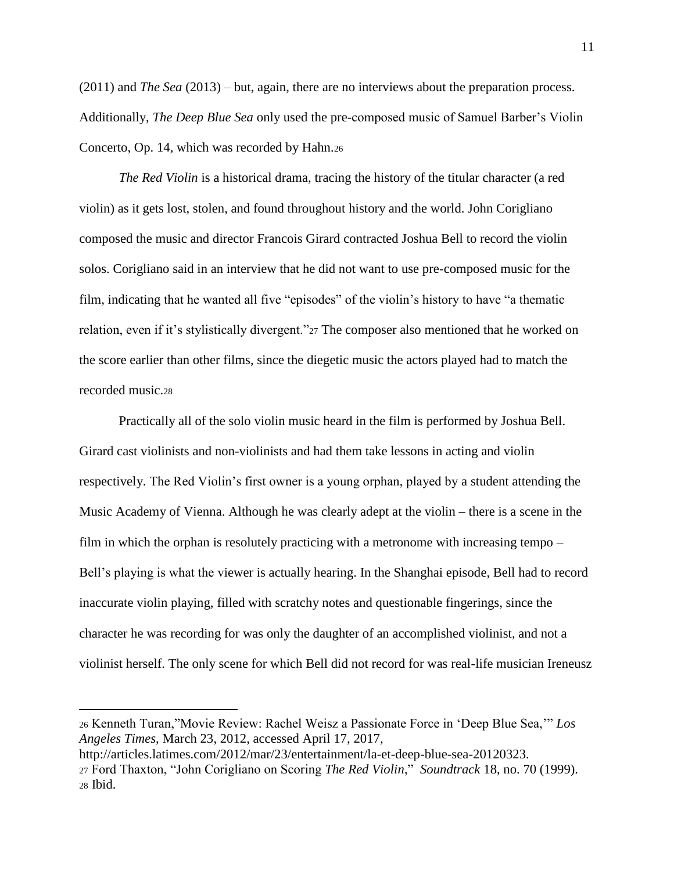(2011) and *The Sea* (2013) – but, again, there are no interviews about the preparation process. Additionally, *The Deep Blue Sea* only used the pre-composed music of Samuel Barber's Violin Concerto, Op. 14, which was recorded by Hahn.<sup>26</sup>

*The Red Violin* is a historical drama, tracing the history of the titular character (a red violin) as it gets lost, stolen, and found throughout history and the world. John Corigliano composed the music and director Francois Girard contracted Joshua Bell to record the violin solos. Corigliano said in an interview that he did not want to use pre-composed music for the film, indicating that he wanted all five "episodes" of the violin's history to have "a thematic relation, even if it's stylistically divergent."<sup>27</sup> The composer also mentioned that he worked on the score earlier than other films, since the diegetic music the actors played had to match the recorded music.<sup>28</sup>

Practically all of the solo violin music heard in the film is performed by Joshua Bell. Girard cast violinists and non-violinists and had them take lessons in acting and violin respectively. The Red Violin's first owner is a young orphan, played by a student attending the Music Academy of Vienna. Although he was clearly adept at the violin – there is a scene in the film in which the orphan is resolutely practicing with a metronome with increasing tempo – Bell's playing is what the viewer is actually hearing. In the Shanghai episode, Bell had to record inaccurate violin playing, filled with scratchy notes and questionable fingerings, since the character he was recording for was only the daughter of an accomplished violinist, and not a violinist herself. The only scene for which Bell did not record for was real-life musician Ireneusz

<sup>26</sup> Kenneth Turan,"Movie Review: Rachel Weisz a Passionate Force in 'Deep Blue Sea,'" *Los Angeles Times*, March 23, 2012, accessed April 17, 2017,

http://articles.latimes.com/2012/mar/23/entertainment/la-et-deep-blue-sea-20120323. <sup>27</sup> Ford Thaxton, "John Corigliano on Scoring *The Red Violin*," *Soundtrack* 18, no. 70 (1999). <sup>28</sup> Ibid.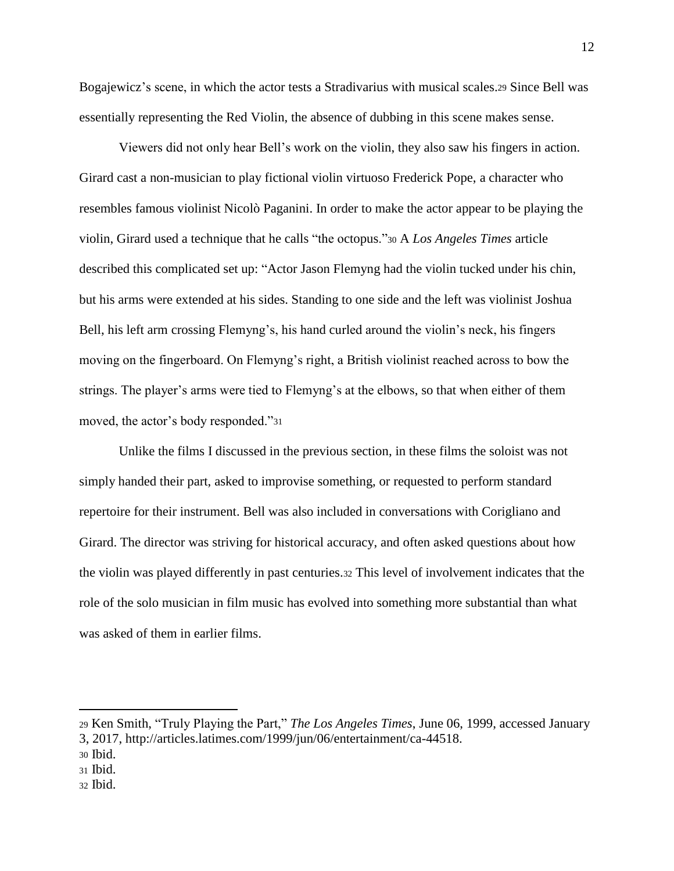Bogajewicz's scene, in which the actor tests a Stradivarius with musical scales.<sup>29</sup> Since Bell was essentially representing the Red Violin, the absence of dubbing in this scene makes sense.

Viewers did not only hear Bell's work on the violin, they also saw his fingers in action. Girard cast a non-musician to play fictional violin virtuoso Frederick Pope, a character who resembles famous violinist Nicolò Paganini. In order to make the actor appear to be playing the violin, Girard used a technique that he calls "the octopus."<sup>30</sup> A *Los Angeles Times* article described this complicated set up: "Actor Jason Flemyng had the violin tucked under his chin, but his arms were extended at his sides. Standing to one side and the left was violinist Joshua Bell, his left arm crossing Flemyng's, his hand curled around the violin's neck, his fingers moving on the fingerboard. On Flemyng's right, a British violinist reached across to bow the strings. The player's arms were tied to Flemyng's at the elbows, so that when either of them moved, the actor's body responded."<sup>31</sup>

Unlike the films I discussed in the previous section, in these films the soloist was not simply handed their part, asked to improvise something, or requested to perform standard repertoire for their instrument. Bell was also included in conversations with Corigliano and Girard. The director was striving for historical accuracy, and often asked questions about how the violin was played differently in past centuries.<sup>32</sup> This level of involvement indicates that the role of the solo musician in film music has evolved into something more substantial than what was asked of them in earlier films.

<sup>29</sup> Ken Smith, "Truly Playing the Part," *The Los Angeles Times*, June 06, 1999, accessed January

<sup>3, 2017,</sup> http://articles.latimes.com/1999/jun/06/entertainment/ca-44518.

<sup>30</sup> Ibid.

<sup>31</sup> Ibid.

<sup>32</sup> Ibid.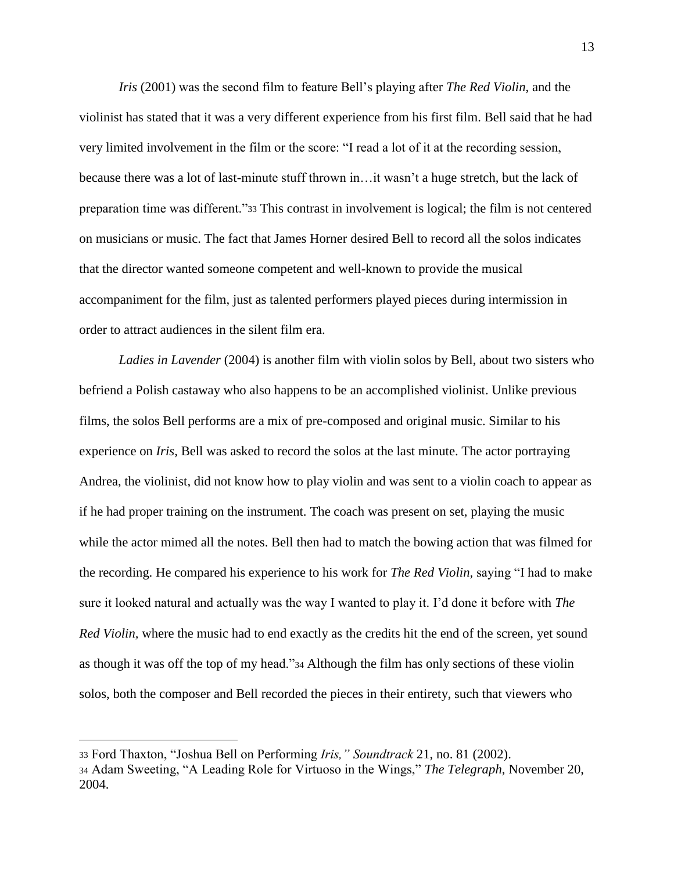*Iris* (2001) was the second film to feature Bell's playing after *The Red Violin*, and the violinist has stated that it was a very different experience from his first film. Bell said that he had very limited involvement in the film or the score: "I read a lot of it at the recording session, because there was a lot of last-minute stuff thrown in…it wasn't a huge stretch, but the lack of preparation time was different."<sup>33</sup> This contrast in involvement is logical; the film is not centered on musicians or music. The fact that James Horner desired Bell to record all the solos indicates that the director wanted someone competent and well-known to provide the musical accompaniment for the film, just as talented performers played pieces during intermission in order to attract audiences in the silent film era.

*Ladies in Lavender* (2004) is another film with violin solos by Bell, about two sisters who befriend a Polish castaway who also happens to be an accomplished violinist. Unlike previous films, the solos Bell performs are a mix of pre-composed and original music. Similar to his experience on *Iris*, Bell was asked to record the solos at the last minute. The actor portraying Andrea, the violinist, did not know how to play violin and was sent to a violin coach to appear as if he had proper training on the instrument. The coach was present on set, playing the music while the actor mimed all the notes. Bell then had to match the bowing action that was filmed for the recording. He compared his experience to his work for *The Red Violin,* saying "I had to make sure it looked natural and actually was the way I wanted to play it. I'd done it before with *The Red Violin,* where the music had to end exactly as the credits hit the end of the screen, yet sound as though it was off the top of my head."<sup>34</sup> Although the film has only sections of these violin solos, both the composer and Bell recorded the pieces in their entirety, such that viewers who

<sup>33</sup> Ford Thaxton, "Joshua Bell on Performing *Iris," Soundtrack* 21, no. 81 (2002). <sup>34</sup> Adam Sweeting, "A Leading Role for Virtuoso in the Wings," *The Telegraph*, November 20, 2004.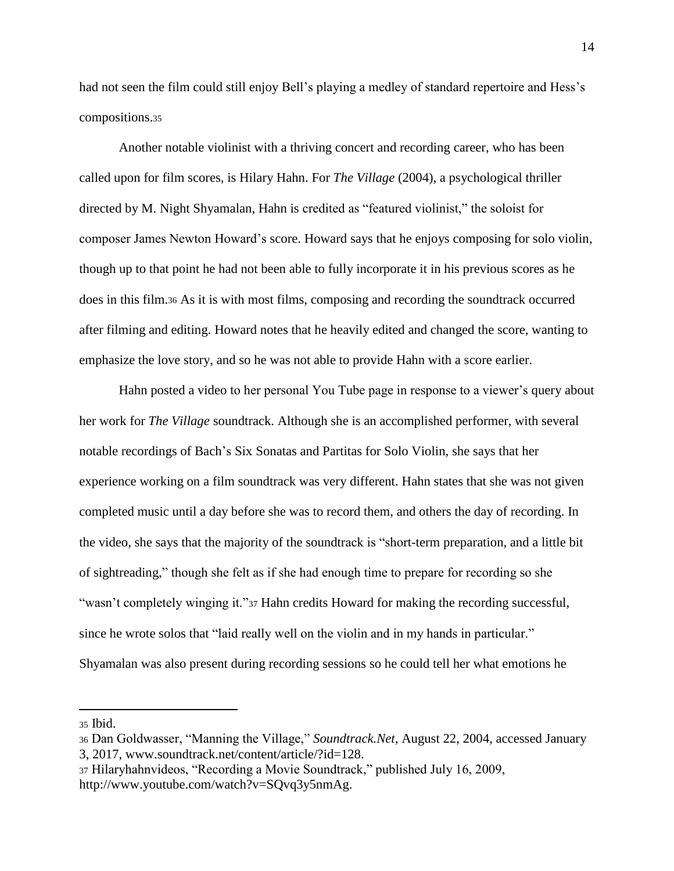had not seen the film could still enjoy Bell's playing a medley of standard repertoire and Hess's compositions.<sup>35</sup>

Another notable violinist with a thriving concert and recording career, who has been called upon for film scores, is Hilary Hahn. For *The Village* (2004), a psychological thriller directed by M. Night Shyamalan, Hahn is credited as "featured violinist," the soloist for composer James Newton Howard's score. Howard says that he enjoys composing for solo violin, though up to that point he had not been able to fully incorporate it in his previous scores as he does in this film.<sup>36</sup> As it is with most films, composing and recording the soundtrack occurred after filming and editing. Howard notes that he heavily edited and changed the score, wanting to emphasize the love story, and so he was not able to provide Hahn with a score earlier.

Hahn posted a video to her personal You Tube page in response to a viewer's query about her work for *The Village* soundtrack. Although she is an accomplished performer, with several notable recordings of Bach's Six Sonatas and Partitas for Solo Violin, she says that her experience working on a film soundtrack was very different. Hahn states that she was not given completed music until a day before she was to record them, and others the day of recording. In the video, she says that the majority of the soundtrack is "short-term preparation, and a little bit of sightreading," though she felt as if she had enough time to prepare for recording so she "wasn't completely winging it."<sup>37</sup> Hahn credits Howard for making the recording successful, since he wrote solos that "laid really well on the violin and in my hands in particular." Shyamalan was also present during recording sessions so he could tell her what emotions he

<sup>35</sup> Ibid.

<sup>36</sup> Dan Goldwasser, "Manning the Village," *Soundtrack.Net*, August 22, 2004, accessed January 3, 2017, www.soundtrack.net/content/article/?id=128.

<sup>37</sup> Hilaryhahnvideos, "Recording a Movie Soundtrack," published July 16, 2009, http://www.youtube.com/watch?v=SQvq3y5nmAg.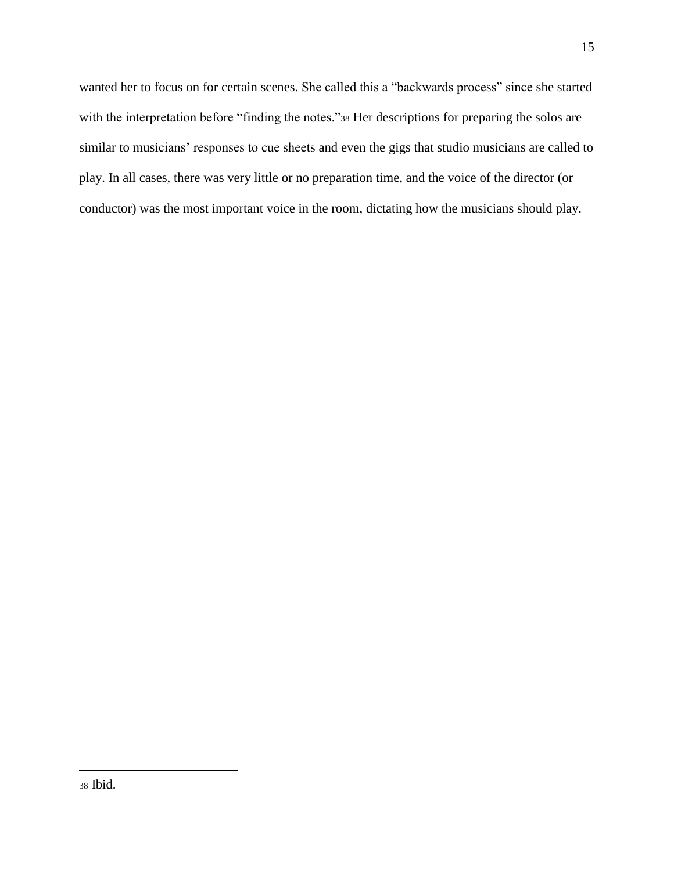wanted her to focus on for certain scenes. She called this a "backwards process" since she started with the interpretation before "finding the notes."38 Her descriptions for preparing the solos are similar to musicians' responses to cue sheets and even the gigs that studio musicians are called to play. In all cases, there was very little or no preparation time, and the voice of the director (or conductor) was the most important voice in the room, dictating how the musicians should play.

<sup>38</sup> Ibid.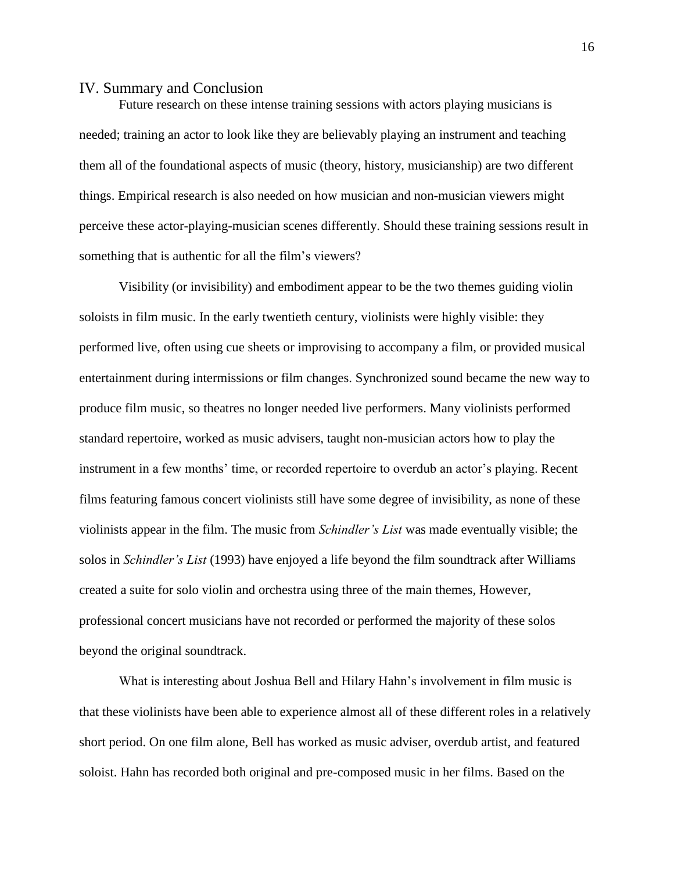#### <span id="page-21-0"></span>IV. Summary and Conclusion

Future research on these intense training sessions with actors playing musicians is needed; training an actor to look like they are believably playing an instrument and teaching them all of the foundational aspects of music (theory, history, musicianship) are two different things. Empirical research is also needed on how musician and non-musician viewers might perceive these actor-playing-musician scenes differently. Should these training sessions result in something that is authentic for all the film's viewers?

Visibility (or invisibility) and embodiment appear to be the two themes guiding violin soloists in film music. In the early twentieth century, violinists were highly visible: they performed live, often using cue sheets or improvising to accompany a film, or provided musical entertainment during intermissions or film changes. Synchronized sound became the new way to produce film music, so theatres no longer needed live performers. Many violinists performed standard repertoire, worked as music advisers, taught non-musician actors how to play the instrument in a few months' time, or recorded repertoire to overdub an actor's playing. Recent films featuring famous concert violinists still have some degree of invisibility, as none of these violinists appear in the film. The music from *Schindler's List* was made eventually visible; the solos in *Schindler's List* (1993) have enjoyed a life beyond the film soundtrack after Williams created a suite for solo violin and orchestra using three of the main themes*,* However, professional concert musicians have not recorded or performed the majority of these solos beyond the original soundtrack.

What is interesting about Joshua Bell and Hilary Hahn's involvement in film music is that these violinists have been able to experience almost all of these different roles in a relatively short period. On one film alone, Bell has worked as music adviser, overdub artist, and featured soloist. Hahn has recorded both original and pre-composed music in her films. Based on the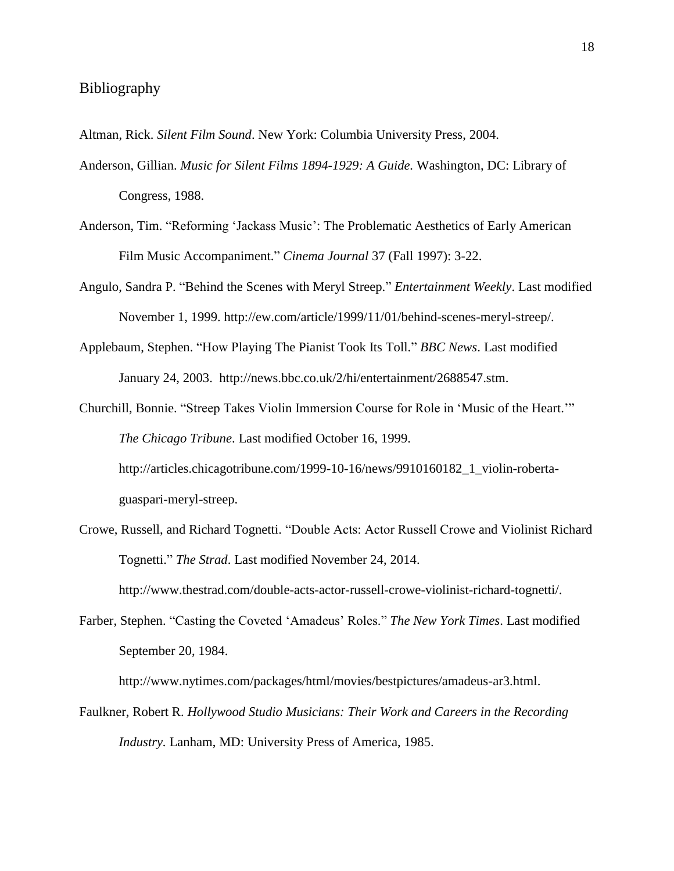# <span id="page-23-0"></span>Bibliography

Altman, Rick. *Silent Film Sound*. New York: Columbia University Press, 2004.

- Anderson, Gillian. *Music for Silent Films 1894-1929: A Guide.* Washington, DC: Library of Congress, 1988.
- Anderson, Tim. "Reforming 'Jackass Music': The Problematic Aesthetics of Early American Film Music Accompaniment." *Cinema Journal* 37 (Fall 1997): 3-22.
- Angulo, Sandra P. "Behind the Scenes with Meryl Streep." *Entertainment Weekly*. Last modified November 1, 1999. http://ew.com/article/1999/11/01/behind-scenes-meryl-streep/.
- Applebaum, Stephen. "How Playing The Pianist Took Its Toll." *BBC News*. Last modified January 24, 2003. http://news.bbc.co.uk/2/hi/entertainment/2688547.stm.
- Churchill, Bonnie. "Streep Takes Violin Immersion Course for Role in 'Music of the Heart.'" *The Chicago Tribune*. Last modified October 16, 1999. http://articles.chicagotribune.com/1999-10-16/news/9910160182\_1\_violin-robertaguaspari-meryl-streep.
- Crowe, Russell, and Richard Tognetti. "Double Acts: Actor Russell Crowe and Violinist Richard Tognetti." *The Strad*. Last modified November 24, 2014. http://www.thestrad.com/double-acts-actor-russell-crowe-violinist-richard-tognetti/.
- Farber, Stephen. "Casting the Coveted 'Amadeus' Roles." *The New York Times*. Last modified September 20, 1984.

http://www.nytimes.com/packages/html/movies/bestpictures/amadeus-ar3.html.

Faulkner, Robert R. *Hollywood Studio Musicians: Their Work and Careers in the Recording Industry.* Lanham, MD: University Press of America, 1985.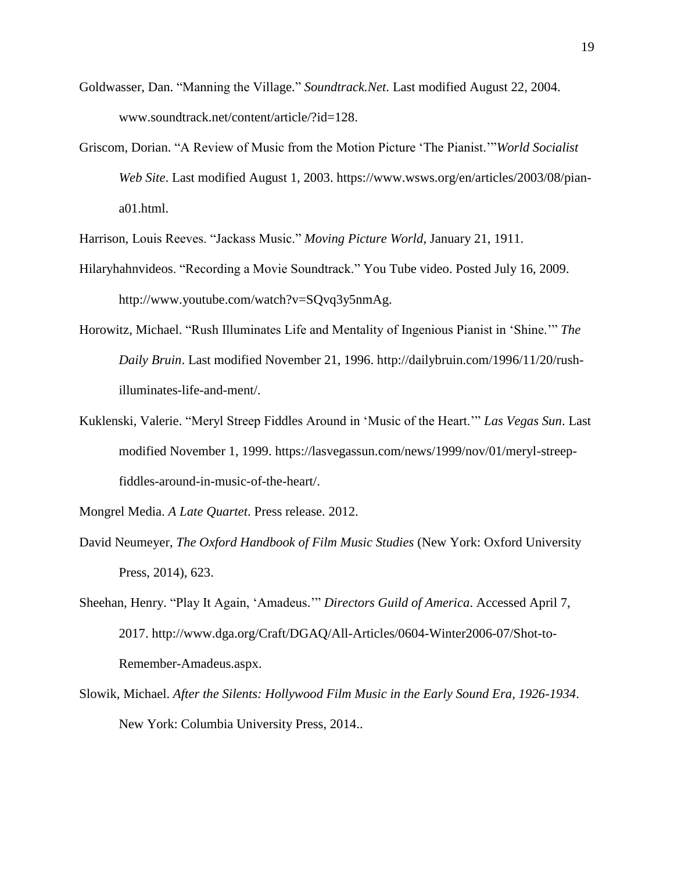- Goldwasser, Dan. "Manning the Village." *Soundtrack.Net*. Last modified August 22, 2004. www.soundtrack.net/content/article/?id=128.
- Griscom, Dorian. "A Review of Music from the Motion Picture 'The Pianist.'"*World Socialist Web Site*. Last modified August 1, 2003. https://www.wsws.org/en/articles/2003/08/piana01.html.

Harrison, Louis Reeves. "Jackass Music." *Moving Picture World*, January 21, 1911.

- Hilaryhahnvideos. "Recording a Movie Soundtrack." You Tube video. Posted July 16, 2009. http://www.youtube.com/watch?v=SQvq3y5nmAg.
- Horowitz, Michael. "Rush Illuminates Life and Mentality of Ingenious Pianist in 'Shine.'" *The Daily Bruin*. Last modified November 21, 1996. http://dailybruin.com/1996/11/20/rushilluminates-life-and-ment/.
- Kuklenski, Valerie. "Meryl Streep Fiddles Around in 'Music of the Heart.'" *Las Vegas Sun*. Last modified November 1, 1999. https://lasvegassun.com/news/1999/nov/01/meryl-streepfiddles-around-in-music-of-the-heart/.

Mongrel Media. *A Late Quartet*. Press release. 2012.

- David Neumeyer, *The Oxford Handbook of Film Music Studies* (New York: Oxford University Press, 2014), 623.
- Sheehan, Henry. "Play It Again, 'Amadeus.'" *Directors Guild of America*. Accessed April 7, 2017. http://www.dga.org/Craft/DGAQ/All-Articles/0604-Winter2006-07/Shot-to-Remember-Amadeus.aspx.
- Slowik, Michael. *After the Silents: Hollywood Film Music in the Early Sound Era, 1926-1934*. New York: Columbia University Press, 2014..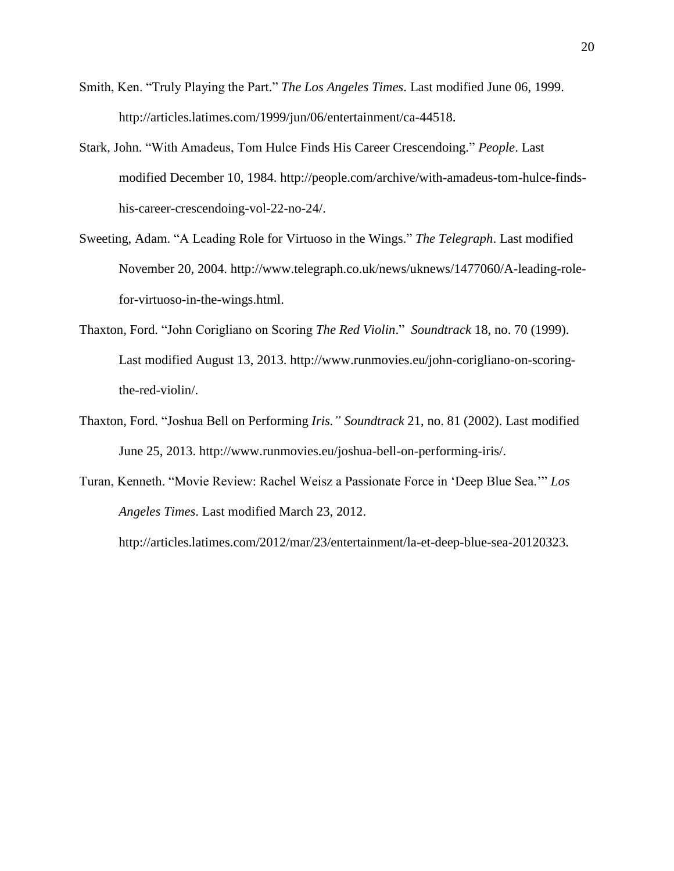- Smith, Ken. "Truly Playing the Part." *The Los Angeles Times*. Last modified June 06, 1999. http://articles.latimes.com/1999/jun/06/entertainment/ca-44518.
- Stark, John. "With Amadeus, Tom Hulce Finds His Career Crescendoing." *People*. Last modified December 10, 1984. http://people.com/archive/with-amadeus-tom-hulce-findshis-career-crescendoing-vol-22-no-24/.
- Sweeting, Adam. "A Leading Role for Virtuoso in the Wings." *The Telegraph*. Last modified November 20, 2004. http://www.telegraph.co.uk/news/uknews/1477060/A-leading-rolefor-virtuoso-in-the-wings.html.
- Thaxton, Ford. "John Corigliano on Scoring *The Red Violin*." *Soundtrack* 18, no. 70 (1999). Last modified August 13, 2013. http://www.runmovies.eu/john-corigliano-on-scoringthe-red-violin/.
- Thaxton, Ford. "Joshua Bell on Performing *Iris." Soundtrack* 21, no. 81 (2002). Last modified June 25, 2013. http://www.runmovies.eu/joshua-bell-on-performing-iris/.
- Turan, Kenneth. "Movie Review: Rachel Weisz a Passionate Force in 'Deep Blue Sea.'" *Los Angeles Times*. Last modified March 23, 2012.

http://articles.latimes.com/2012/mar/23/entertainment/la-et-deep-blue-sea-20120323.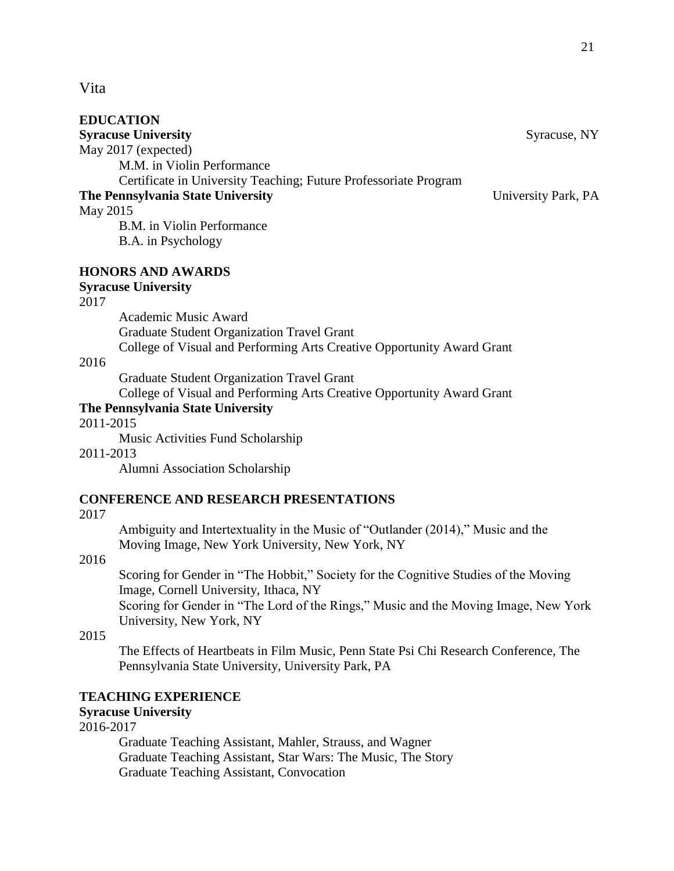## <span id="page-26-0"></span>Vita

| <b>Syracuse University</b>                                       | Syracuse, NY        |
|------------------------------------------------------------------|---------------------|
| May 2017 (expected)                                              |                     |
| M.M. in Violin Performance                                       |                     |
| Certificate in University Teaching; Future Professoriate Program |                     |
| The Pennsylvania State University                                | University Park, PA |
| May 2015                                                         |                     |
| B.M. in Violin Performance                                       |                     |
| B.A. in Psychology                                               |                     |

**HONORS AND AWARDS**

**Syracuse University**

2017

Academic Music Award Graduate Student Organization Travel Grant College of Visual and Performing Arts Creative Opportunity Award Grant

### 2016

Graduate Student Organization Travel Grant

College of Visual and Performing Arts Creative Opportunity Award Grant

# **The Pennsylvania State University**

2011-2015

Music Activities Fund Scholarship

#### 2011-2013

Alumni Association Scholarship

# **CONFERENCE AND RESEARCH PRESENTATIONS**

2017

Ambiguity and Intertextuality in the Music of "Outlander (2014)," Music and the Moving Image, New York University, New York, NY

2016

Scoring for Gender in "The Hobbit," Society for the Cognitive Studies of the Moving Image, Cornell University, Ithaca, NY

Scoring for Gender in "The Lord of the Rings," Music and the Moving Image, New York University, New York, NY

2015

The Effects of Heartbeats in Film Music, Penn State Psi Chi Research Conference, The Pennsylvania State University, University Park, PA

# **TEACHING EXPERIENCE**

# **Syracuse University**

2016-2017

Graduate Teaching Assistant, Mahler, Strauss, and Wagner Graduate Teaching Assistant, Star Wars: The Music, The Story Graduate Teaching Assistant, Convocation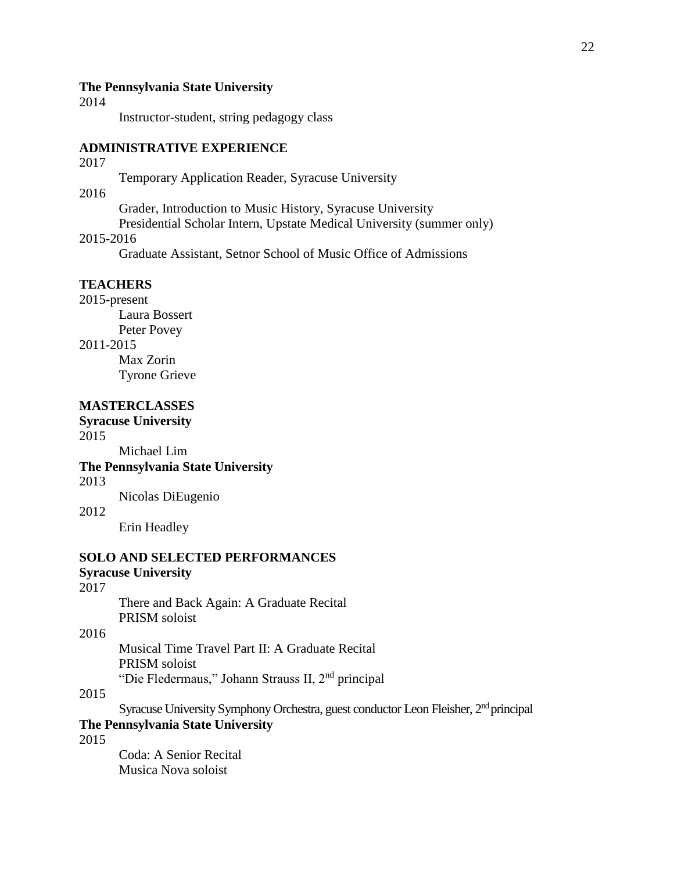#### **The Pennsylvania State University**

2014

Instructor-student, string pedagogy class

#### **ADMINISTRATIVE EXPERIENCE**

#### 2017

Temporary Application Reader, Syracuse University

# 2016

Grader, Introduction to Music History, Syracuse University

Presidential Scholar Intern, Upstate Medical University (summer only)

#### 2015-2016

Graduate Assistant, Setnor School of Music Office of Admissions

# **TEACHERS**

2015-present Laura Bossert Peter Povey

# 2011-2015

Max Zorin Tyrone Grieve

# **MASTERCLASSES**

## **Syracuse University**

2015

Michael Lim

### **The Pennsylvania State University**

2013

Nicolas DiEugenio

#### 2012

Erin Headley

# **SOLO AND SELECTED PERFORMANCES**

### **Syracuse University**

# 2017

There and Back Again: A Graduate Recital PRISM soloist

2016

Musical Time Travel Part II: A Graduate Recital PRISM soloist

"Die Fledermaus," Johann Strauss II, 2nd principal

#### 2015

Syracuse University Symphony Orchestra, guest conductor Leon Fleisher, 2<sup>nd</sup> principal

# **The Pennsylvania State University**

# 2015

Coda: A Senior Recital Musica Nova soloist